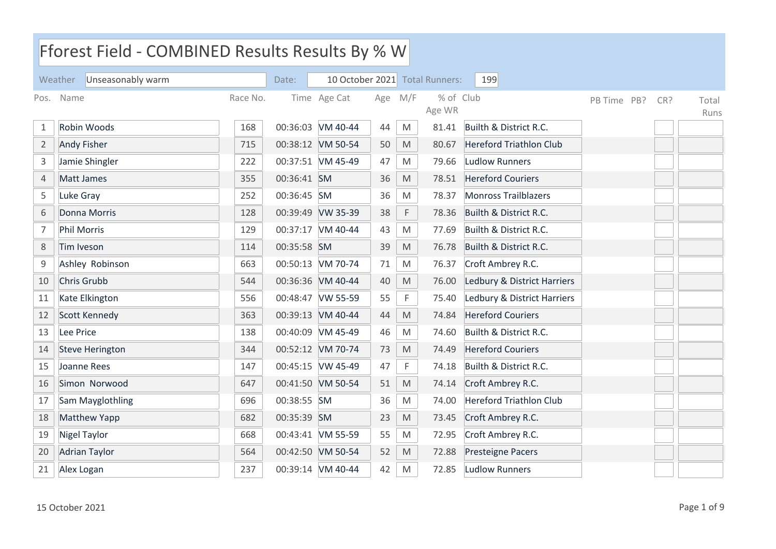|                | Fforest Field - COMBINED Results Results By % W |          |             |                   |     |                                                                                                            |                                |                                |             |     |               |  |
|----------------|-------------------------------------------------|----------|-------------|-------------------|-----|------------------------------------------------------------------------------------------------------------|--------------------------------|--------------------------------|-------------|-----|---------------|--|
|                | Unseasonably warm<br>Weather                    |          | Date:       |                   |     |                                                                                                            | 10 October 2021 Total Runners: | 199                            |             |     |               |  |
| Pos.           | Name                                            | Race No. |             | Time Age Cat      | Age | M/F                                                                                                        | % of Club<br>Age WR            |                                | PB Time PB? | CR? | Total<br>Runs |  |
| $\mathbf{1}$   | Robin Woods                                     | 168      |             | 00:36:03 VM 40-44 | 44  | ${\sf M}$                                                                                                  | 81.41                          | Builth & District R.C.         |             |     |               |  |
| $\overline{2}$ | <b>Andy Fisher</b>                              | 715      |             | 00:38:12 VM 50-54 | 50  | M                                                                                                          | 80.67                          | <b>Hereford Triathlon Club</b> |             |     |               |  |
| 3              | Jamie Shingler                                  | 222      |             | 00:37:51 VM 45-49 | 47  | M                                                                                                          | 79.66                          | <b>Ludlow Runners</b>          |             |     |               |  |
| 4              | Matt James                                      | 355      | 00:36:41 SM |                   | 36  | $\mathsf{M}% _{T}=\mathsf{M}_{T}\!\left( a,b\right) ,\ \mathsf{M}_{T}=\mathsf{M}_{T}\!\left( a,b\right) ,$ | 78.51                          | <b>Hereford Couriers</b>       |             |     |               |  |
| 5              | Luke Gray                                       | 252      | 00:36:45 SM |                   | 36  | M                                                                                                          | 78.37                          | <b>Monross Trailblazers</b>    |             |     |               |  |
| 6              | Donna Morris                                    | 128      |             | 00:39:49 VW 35-39 | 38  | F                                                                                                          | 78.36                          | Builth & District R.C.         |             |     |               |  |
| 7              | <b>Phil Morris</b>                              | 129      |             | 00:37:17 VM 40-44 | 43  | M                                                                                                          | 77.69                          | Builth & District R.C.         |             |     |               |  |
| 8              | Tim Iveson                                      | 114      | 00:35:58 SM |                   | 39  | $\mathsf{M}% _{T}=\mathsf{M}_{T}\!\left( a,b\right) ,\ \mathsf{M}_{T}=\mathsf{M}_{T}\!\left( a,b\right) ,$ | 76.78                          | Builth & District R.C.         |             |     |               |  |
| 9              | Ashley Robinson                                 | 663      |             | 00:50:13 VM 70-74 | 71  | M                                                                                                          | 76.37                          | Croft Ambrey R.C.              |             |     |               |  |
| 10             | Chris Grubb                                     | 544      |             | 00:36:36 VM 40-44 | 40  | $\mathsf{M}% _{T}=\mathsf{M}_{T}\!\left( a,b\right) ,\ \mathsf{M}_{T}=\mathsf{M}_{T}\!\left( a,b\right) ,$ | 76.00                          | Ledbury & District Harriers    |             |     |               |  |
| 11             | Kate Elkington                                  | 556      |             | 00:48:47 VW 55-59 | 55  | F                                                                                                          | 75.40                          | Ledbury & District Harriers    |             |     |               |  |
| 12             | Scott Kennedy                                   | 363      |             | 00:39:13 VM 40-44 | 44  | M                                                                                                          | 74.84                          | <b>Hereford Couriers</b>       |             |     |               |  |
| 13             | Lee Price                                       | 138      |             | 00:40:09 VM 45-49 | 46  | ${\sf M}$                                                                                                  | 74.60                          | Builth & District R.C.         |             |     |               |  |
| 14             | <b>Steve Herington</b>                          | 344      |             | 00:52:12 VM 70-74 | 73  | M                                                                                                          | 74.49                          | <b>Hereford Couriers</b>       |             |     |               |  |
| 15             | Joanne Rees                                     | 147      |             | 00:45:15 VW 45-49 | 47  | F                                                                                                          | 74.18                          | Builth & District R.C.         |             |     |               |  |
| 16             | Simon Norwood                                   | 647      |             | 00:41:50 VM 50-54 | 51  | $\mathsf{M}% _{T}=\mathsf{M}_{T}\!\left( a,b\right) ,\ \mathsf{M}_{T}=\mathsf{M}_{T}\!\left( a,b\right) ,$ | 74.14                          | Croft Ambrey R.C.              |             |     |               |  |
| 17             | Sam Mayglothling                                | 696      | 00:38:55 SM |                   | 36  | M                                                                                                          | 74.00                          | <b>Hereford Triathlon Club</b> |             |     |               |  |
| 18             | Matthew Yapp                                    | 682      | 00:35:39    | <b>SM</b>         | 23  | $\mathsf{M}% _{T}=\mathsf{M}_{T}\!\left( a,b\right) ,\ \mathsf{M}_{T}=\mathsf{M}_{T}\!\left( a,b\right) ,$ | 73.45                          | Croft Ambrey R.C.              |             |     |               |  |
| 19             | <b>Nigel Taylor</b>                             | 668      |             | 00:43:41 VM 55-59 | 55  | $\mathsf{M}% _{T}=\mathsf{M}_{T}\!\left( a,b\right) ,\ \mathsf{M}_{T}=\mathsf{M}_{T}\!\left( a,b\right) ,$ | 72.95                          | Croft Ambrey R.C.              |             |     |               |  |
| 20             | <b>Adrian Taylor</b>                            | 564      |             | 00:42:50 VM 50-54 | 52  | M                                                                                                          | 72.88                          | <b>Presteigne Pacers</b>       |             |     |               |  |
| 21             | Alex Logan                                      | 237      |             | 00:39:14 VM 40-44 | 42  | M                                                                                                          | 72.85                          | <b>Ludlow Runners</b>          |             |     |               |  |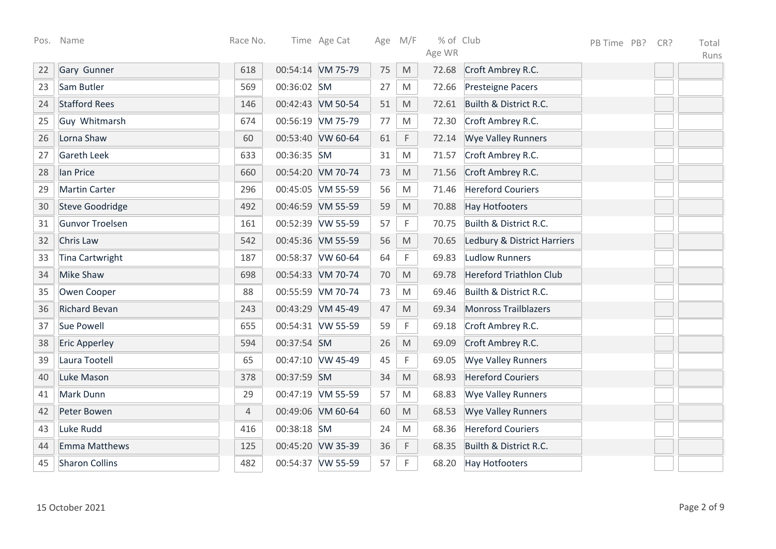| Pos. | Name                   | Race No.       |             | Time Age Cat      |    | Age M/F                                                                                                    | % of Club |                                | PB Time PB? | CR? | Total |
|------|------------------------|----------------|-------------|-------------------|----|------------------------------------------------------------------------------------------------------------|-----------|--------------------------------|-------------|-----|-------|
|      |                        |                |             |                   |    |                                                                                                            | Age WR    |                                |             |     | Runs  |
| 22   | Gary Gunner            | 618            |             | 00:54:14 VM 75-79 | 75 | M                                                                                                          | 72.68     | Croft Ambrey R.C.              |             |     |       |
| 23   | Sam Butler             | 569            | 00:36:02 SM |                   | 27 | M                                                                                                          | 72.66     | <b>Presteigne Pacers</b>       |             |     |       |
| 24   | <b>Stafford Rees</b>   | 146            |             | 00:42:43 VM 50-54 | 51 | M                                                                                                          | 72.61     | Builth & District R.C.         |             |     |       |
| 25   | Guy Whitmarsh          | 674            |             | 00:56:19 VM 75-79 | 77 | M                                                                                                          | 72.30     | Croft Ambrey R.C.              |             |     |       |
| 26   | Lorna Shaw             | 60             |             | 00:53:40 VW 60-64 | 61 | $\mathsf F$                                                                                                | 72.14     | <b>Wye Valley Runners</b>      |             |     |       |
| 27   | <b>Gareth Leek</b>     | 633            | 00:36:35 SM |                   | 31 | M                                                                                                          | 71.57     | Croft Ambrey R.C.              |             |     |       |
| 28   | lan Price              | 660            |             | 00:54:20 VM 70-74 | 73 | M                                                                                                          | 71.56     | Croft Ambrey R.C.              |             |     |       |
| 29   | <b>Martin Carter</b>   | 296            |             | 00:45:05 VM 55-59 | 56 | M                                                                                                          | 71.46     | <b>Hereford Couriers</b>       |             |     |       |
| 30   | <b>Steve Goodridge</b> | 492            |             | 00:46:59 VM 55-59 | 59 | ${\sf M}$                                                                                                  | 70.88     | <b>Hay Hotfooters</b>          |             |     |       |
| 31   | <b>Gunvor Troelsen</b> | 161            |             | 00:52:39 VW 55-59 | 57 | $\mathsf F$                                                                                                | 70.75     | Builth & District R.C.         |             |     |       |
| 32   | Chris Law              | 542            |             | 00:45:36 VM 55-59 | 56 | $\mathsf{M}% _{T}=\mathsf{M}_{T}\!\left( a,b\right) ,\ \mathsf{M}_{T}=\mathsf{M}_{T}\!\left( a,b\right) ,$ | 70.65     | Ledbury & District Harriers    |             |     |       |
| 33   | <b>Tina Cartwright</b> | 187            |             | 00:58:37 VW 60-64 | 64 | $\mathsf F$                                                                                                | 69.83     | <b>Ludlow Runners</b>          |             |     |       |
| 34   | <b>Mike Shaw</b>       | 698            |             | 00:54:33 VM 70-74 | 70 | $\mathsf{M}% _{T}=\mathsf{M}_{T}\!\left( a,b\right) ,\ \mathsf{M}_{T}=\mathsf{M}_{T}\!\left( a,b\right) ,$ | 69.78     | <b>Hereford Triathlon Club</b> |             |     |       |
| 35   | Owen Cooper            | 88             |             | 00:55:59 VM 70-74 | 73 | M                                                                                                          | 69.46     | Builth & District R.C.         |             |     |       |
| 36   | <b>Richard Bevan</b>   | 243            |             | 00:43:29 VM 45-49 | 47 | M                                                                                                          | 69.34     | <b>Monross Trailblazers</b>    |             |     |       |
| 37   | <b>Sue Powell</b>      | 655            |             | 00:54:31 VW 55-59 | 59 | F                                                                                                          | 69.18     | Croft Ambrey R.C.              |             |     |       |
| 38   | <b>Eric Apperley</b>   | 594            | 00:37:54 SM |                   | 26 | $\mathsf{M}% _{T}=\mathsf{M}_{T}\!\left( a,b\right) ,\ \mathsf{M}_{T}=\mathsf{M}_{T}\!\left( a,b\right) ,$ | 69.09     | Croft Ambrey R.C.              |             |     |       |
| 39   | Laura Tootell          | 65             |             | 00:47:10 VW 45-49 | 45 | F                                                                                                          | 69.05     | <b>Wye Valley Runners</b>      |             |     |       |
| 40   | Luke Mason             | 378            | 00:37:59 SM |                   | 34 | $\mathsf{M}% _{T}=\mathsf{M}_{T}\!\left( a,b\right) ,\ \mathsf{M}_{T}=\mathsf{M}_{T}\!\left( a,b\right) ,$ | 68.93     | <b>Hereford Couriers</b>       |             |     |       |
| 41   | Mark Dunn              | 29             |             | 00:47:19 VM 55-59 | 57 | M                                                                                                          | 68.83     | <b>Wye Valley Runners</b>      |             |     |       |
| 42   | Peter Bowen            | $\overline{4}$ |             | 00:49:06 VM 60-64 | 60 | ${\sf M}$                                                                                                  | 68.53     | <b>Wye Valley Runners</b>      |             |     |       |
| 43   | Luke Rudd              | 416            | 00:38:18 SM |                   | 24 | ${\sf M}$                                                                                                  | 68.36     | <b>Hereford Couriers</b>       |             |     |       |
| 44   | <b>Emma Matthews</b>   | 125            |             | 00:45:20 VW 35-39 | 36 | $\mathsf F$                                                                                                | 68.35     | Builth & District R.C.         |             |     |       |
| 45   | <b>Sharon Collins</b>  | 482            |             | 00:54:37 VW 55-59 | 57 | $\mathsf F$                                                                                                | 68.20     | <b>Hay Hotfooters</b>          |             |     |       |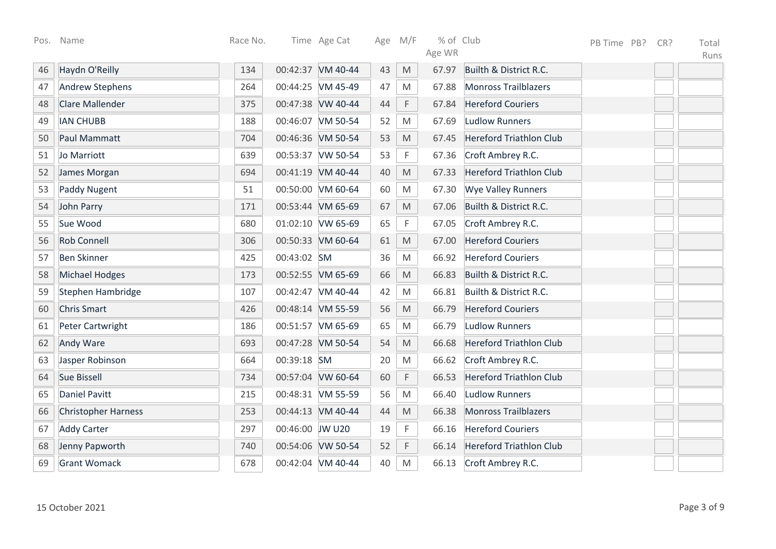| Pos. | Name                       | Race No. |                 | Time Age Cat      |    | Age M/F                                                                                                    | % of Club |                                | PB Time PB? | CR? | Total |
|------|----------------------------|----------|-----------------|-------------------|----|------------------------------------------------------------------------------------------------------------|-----------|--------------------------------|-------------|-----|-------|
|      |                            |          |                 |                   |    |                                                                                                            | Age WR    |                                |             |     | Runs  |
| 46   | Haydn O'Reilly             | 134      |                 | 00:42:37 VM 40-44 | 43 | M                                                                                                          | 67.97     | Builth & District R.C.         |             |     |       |
| 47   | <b>Andrew Stephens</b>     | 264      |                 | 00:44:25 VM 45-49 | 47 | M                                                                                                          | 67.88     | <b>Monross Trailblazers</b>    |             |     |       |
| 48   | <b>Clare Mallender</b>     | 375      |                 | 00:47:38 VW 40-44 | 44 | F                                                                                                          | 67.84     | <b>Hereford Couriers</b>       |             |     |       |
| 49   | <b>IAN CHUBB</b>           | 188      |                 | 00:46:07 VM 50-54 | 52 | M                                                                                                          | 67.69     | <b>Ludlow Runners</b>          |             |     |       |
| 50   | Paul Mammatt               | 704      |                 | 00:46:36 VM 50-54 | 53 | $\mathsf{M}% _{T}=\mathsf{M}_{T}\!\left( a,b\right) ,\ \mathsf{M}_{T}=\mathsf{M}_{T}\!\left( a,b\right) ,$ | 67.45     | <b>Hereford Triathlon Club</b> |             |     |       |
| 51   | Jo Marriott                | 639      |                 | 00:53:37 VW 50-54 | 53 | $\mathsf F$                                                                                                | 67.36     | Croft Ambrey R.C.              |             |     |       |
| 52   | James Morgan               | 694      |                 | 00:41:19 VM 40-44 | 40 | M                                                                                                          | 67.33     | <b>Hereford Triathlon Club</b> |             |     |       |
| 53   | <b>Paddy Nugent</b>        | 51       |                 | 00:50:00 VM 60-64 | 60 | M                                                                                                          | 67.30     | <b>Wye Valley Runners</b>      |             |     |       |
| 54   | John Parry                 | 171      |                 | 00:53:44 VM 65-69 | 67 | $\mathsf{M}% _{T}=\mathsf{M}_{T}\!\left( a,b\right) ,\ \mathsf{M}_{T}=\mathsf{M}_{T}\!\left( a,b\right) ,$ | 67.06     | Builth & District R.C.         |             |     |       |
| 55   | Sue Wood                   | 680      |                 | 01:02:10 VW 65-69 | 65 | F                                                                                                          | 67.05     | Croft Ambrey R.C.              |             |     |       |
| 56   | <b>Rob Connell</b>         | 306      |                 | 00:50:33 VM 60-64 | 61 | M                                                                                                          | 67.00     | <b>Hereford Couriers</b>       |             |     |       |
| 57   | <b>Ben Skinner</b>         | 425      | 00:43:02 SM     |                   | 36 | M                                                                                                          | 66.92     | <b>Hereford Couriers</b>       |             |     |       |
| 58   | <b>Michael Hodges</b>      | 173      |                 | 00:52:55 VM 65-69 | 66 | M                                                                                                          | 66.83     | Builth & District R.C.         |             |     |       |
| 59   | Stephen Hambridge          | 107      |                 | 00:42:47 VM 40-44 | 42 | M                                                                                                          | 66.81     | Builth & District R.C.         |             |     |       |
| 60   | <b>Chris Smart</b>         | 426      |                 | 00:48:14 VM 55-59 | 56 | $\mathsf{M}% _{T}=\mathsf{M}_{T}\!\left( a,b\right) ,\ \mathsf{M}_{T}=\mathsf{M}_{T}\!\left( a,b\right) ,$ | 66.79     | <b>Hereford Couriers</b>       |             |     |       |
| 61   | Peter Cartwright           | 186      |                 | 00:51:57 VM 65-69 | 65 | M                                                                                                          | 66.79     | <b>Ludlow Runners</b>          |             |     |       |
| 62   | Andy Ware                  | 693      |                 | 00:47:28 VM 50-54 | 54 | $\mathsf{M}% _{T}=\mathsf{M}_{T}\!\left( a,b\right) ,\ \mathsf{M}_{T}=\mathsf{M}_{T}\!\left( a,b\right) ,$ | 66.68     | <b>Hereford Triathlon Club</b> |             |     |       |
| 63   | Jasper Robinson            | 664      | 00:39:18 SM     |                   | 20 | M                                                                                                          | 66.62     | Croft Ambrey R.C.              |             |     |       |
| 64   | <b>Sue Bissell</b>         | 734      |                 | 00:57:04 VW 60-64 | 60 | F                                                                                                          | 66.53     | <b>Hereford Triathlon Club</b> |             |     |       |
| 65   | <b>Daniel Pavitt</b>       | 215      |                 | 00:48:31 VM 55-59 | 56 | M                                                                                                          | 66.40     | <b>Ludlow Runners</b>          |             |     |       |
| 66   | <b>Christopher Harness</b> | 253      |                 | 00:44:13 VM 40-44 | 44 | $\mathsf{M}% _{T}=\mathsf{M}_{T}\!\left( a,b\right) ,\ \mathsf{M}_{T}=\mathsf{M}_{T}\!\left( a,b\right) ,$ | 66.38     | <b>Monross Trailblazers</b>    |             |     |       |
| 67   | <b>Addy Carter</b>         | 297      | 00:46:00 JW U20 |                   | 19 | F                                                                                                          | 66.16     | <b>Hereford Couriers</b>       |             |     |       |
| 68   | Jenny Papworth             | 740      |                 | 00:54:06 VW 50-54 | 52 | $\mathsf F$                                                                                                | 66.14     | <b>Hereford Triathlon Club</b> |             |     |       |
| 69   | <b>Grant Womack</b>        | 678      |                 | 00:42:04 VM 40-44 | 40 | M                                                                                                          | 66.13     | Croft Ambrey R.C.              |             |     |       |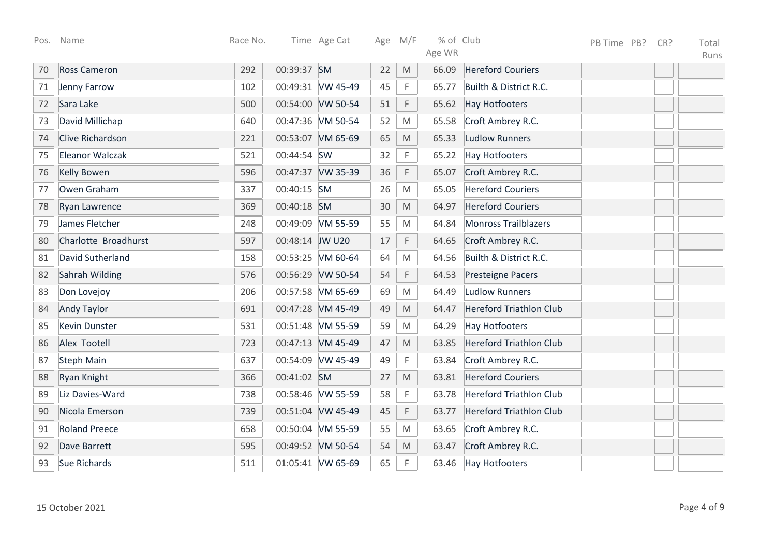|    | Pos. Name              | Race No. |                 | Time Age Cat      | Age M/F |                                                                                                            | % of Club |                                | PB Time PB? | CR? | Total |
|----|------------------------|----------|-----------------|-------------------|---------|------------------------------------------------------------------------------------------------------------|-----------|--------------------------------|-------------|-----|-------|
|    |                        |          |                 |                   |         |                                                                                                            | Age WR    |                                |             |     | Runs  |
| 70 | <b>Ross Cameron</b>    | 292      | 00:39:37 SM     |                   | 22      | M                                                                                                          | 66.09     | <b>Hereford Couriers</b>       |             |     |       |
| 71 | Jenny Farrow           | 102      |                 | 00:49:31 VW 45-49 | 45      | F                                                                                                          | 65.77     | Builth & District R.C.         |             |     |       |
| 72 | Sara Lake              | 500      |                 | 00:54:00 VW 50-54 | 51      | $\mathsf F$                                                                                                | 65.62     | <b>Hay Hotfooters</b>          |             |     |       |
| 73 | David Millichap        | 640      |                 | 00:47:36 VM 50-54 | 52      | M                                                                                                          | 65.58     | Croft Ambrey R.C.              |             |     |       |
| 74 | Clive Richardson       | 221      |                 | 00:53:07 VM 65-69 | 65      | $\mathsf{M}% _{T}=\mathsf{M}_{T}\!\left( a,b\right) ,\ \mathsf{M}_{T}=\mathsf{M}_{T}\!\left( a,b\right) ,$ | 65.33     | <b>Ludlow Runners</b>          |             |     |       |
| 75 | <b>Eleanor Walczak</b> | 521      | 00:44:54 SW     |                   | 32      | $\mathsf F$                                                                                                | 65.22     | <b>Hay Hotfooters</b>          |             |     |       |
| 76 | <b>Kelly Bowen</b>     | 596      |                 | 00:47:37 VW 35-39 | 36      | $\mathsf F$                                                                                                | 65.07     | Croft Ambrey R.C.              |             |     |       |
| 77 | Owen Graham            | 337      | 00:40:15 SM     |                   | 26      | $\mathsf{M}% _{T}=\mathsf{M}_{T}\!\left( a,b\right) ,\ \mathsf{M}_{T}=\mathsf{M}_{T}\!\left( a,b\right) ,$ | 65.05     | <b>Hereford Couriers</b>       |             |     |       |
| 78 | <b>Ryan Lawrence</b>   | 369      | 00:40:18 SM     |                   | 30      | M                                                                                                          | 64.97     | <b>Hereford Couriers</b>       |             |     |       |
| 79 | James Fletcher         | 248      |                 | 00:49:09 VM 55-59 | 55      | ${\sf M}$                                                                                                  | 64.84     | <b>Monross Trailblazers</b>    |             |     |       |
| 80 | Charlotte Broadhurst   | 597      | 00:48:14 JW U20 |                   | 17      | F                                                                                                          | 64.65     | Croft Ambrey R.C.              |             |     |       |
| 81 | David Sutherland       | 158      |                 | 00:53:25 VM 60-64 | 64      | M                                                                                                          | 64.56     | Builth & District R.C.         |             |     |       |
| 82 | Sahrah Wilding         | 576      |                 | 00:56:29 VW 50-54 | 54      | $\mathsf F$                                                                                                | 64.53     | Presteigne Pacers              |             |     |       |
| 83 | Don Lovejoy            | 206      |                 | 00:57:58 VM 65-69 | 69      | M                                                                                                          | 64.49     | <b>Ludlow Runners</b>          |             |     |       |
| 84 | <b>Andy Taylor</b>     | 691      |                 | 00:47:28 VM 45-49 | 49      | M                                                                                                          | 64.47     | <b>Hereford Triathlon Club</b> |             |     |       |
| 85 | <b>Kevin Dunster</b>   | 531      |                 | 00:51:48 VM 55-59 | 59      | ${\sf M}$                                                                                                  | 64.29     | <b>Hay Hotfooters</b>          |             |     |       |
| 86 | Alex Tootell           | 723      |                 | 00:47:13 VM 45-49 | 47      | $\mathsf{M}% _{T}=\mathsf{M}_{T}\!\left( a,b\right) ,\ \mathsf{M}_{T}=\mathsf{M}_{T}\!\left( a,b\right) ,$ | 63.85     | <b>Hereford Triathlon Club</b> |             |     |       |
| 87 | <b>Steph Main</b>      | 637      |                 | 00:54:09 VW 45-49 | 49      | $\mathsf F$                                                                                                | 63.84     | Croft Ambrey R.C.              |             |     |       |
| 88 | Ryan Knight            | 366      | 00:41:02 SM     |                   | 27      | $\mathsf{M}% _{T}=\mathsf{M}_{T}\!\left( a,b\right) ,\ \mathsf{M}_{T}=\mathsf{M}_{T}\!\left( a,b\right) ,$ | 63.81     | <b>Hereford Couriers</b>       |             |     |       |
| 89 | Liz Davies-Ward        | 738      |                 | 00:58:46 VW 55-59 | 58      | $\mathsf F$                                                                                                | 63.78     | <b>Hereford Triathlon Club</b> |             |     |       |
| 90 | Nicola Emerson         | 739      |                 | 00:51:04 VW 45-49 | 45      | F                                                                                                          | 63.77     | <b>Hereford Triathlon Club</b> |             |     |       |
| 91 | <b>Roland Preece</b>   | 658      |                 | 00:50:04 VM 55-59 | 55      | ${\sf M}$                                                                                                  | 63.65     | Croft Ambrey R.C.              |             |     |       |
| 92 | Dave Barrett           | 595      |                 | 00:49:52 VM 50-54 | 54      | M                                                                                                          | 63.47     | Croft Ambrey R.C.              |             |     |       |
| 93 | <b>Sue Richards</b>    | 511      |                 | 01:05:41 VW 65-69 | 65      | F                                                                                                          | 63.46     | <b>Hay Hotfooters</b>          |             |     |       |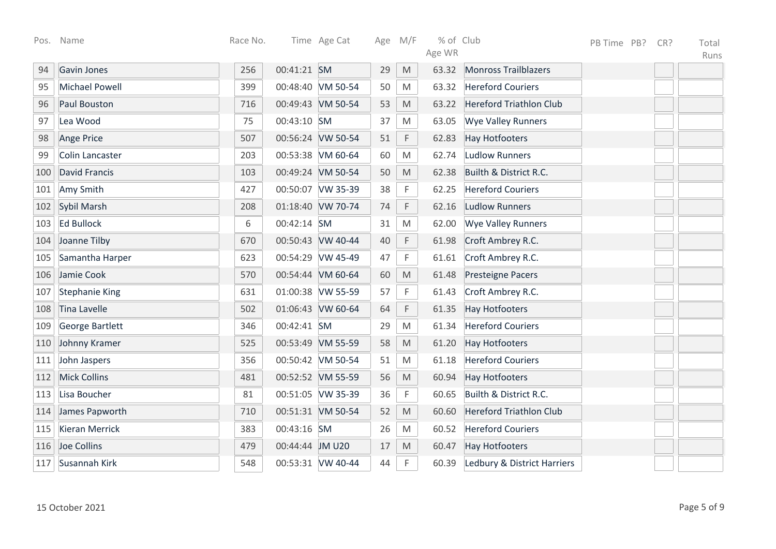| Pos. | Name                  | Race No. |                 | Time Age Cat      | Age M/F |                                                                                                            | % of Club |                                | PB Time PB? | CR? | Total |
|------|-----------------------|----------|-----------------|-------------------|---------|------------------------------------------------------------------------------------------------------------|-----------|--------------------------------|-------------|-----|-------|
|      |                       |          |                 |                   |         |                                                                                                            | Age WR    |                                |             |     | Runs  |
| 94   | Gavin Jones           | 256      | 00:41:21 SM     |                   | 29      | M                                                                                                          | 63.32     | <b>Monross Trailblazers</b>    |             |     |       |
| 95   | <b>Michael Powell</b> | 399      |                 | 00:48:40 VM 50-54 | 50      | M                                                                                                          | 63.32     | <b>Hereford Couriers</b>       |             |     |       |
| 96   | <b>Paul Bouston</b>   | 716      |                 | 00:49:43 VM 50-54 | 53      | M                                                                                                          | 63.22     | <b>Hereford Triathlon Club</b> |             |     |       |
| 97   | Lea Wood              | 75       | 00:43:10 SM     |                   | 37      | M                                                                                                          | 63.05     | <b>Wye Valley Runners</b>      |             |     |       |
| 98   | Ange Price            | 507      |                 | 00:56:24 VW 50-54 | 51      | F                                                                                                          | 62.83     | <b>Hay Hotfooters</b>          |             |     |       |
| 99   | Colin Lancaster       | 203      |                 | 00:53:38 VM 60-64 | 60      | M                                                                                                          | 62.74     | <b>Ludlow Runners</b>          |             |     |       |
| 100  | <b>David Francis</b>  | 103      |                 | 00:49:24 VM 50-54 | 50      | M                                                                                                          | 62.38     | Builth & District R.C.         |             |     |       |
| 101  | Amy Smith             | 427      |                 | 00:50:07 VW 35-39 | 38      | F                                                                                                          | 62.25     | <b>Hereford Couriers</b>       |             |     |       |
| 102  | Sybil Marsh           | 208      |                 | 01:18:40 VW 70-74 | 74      | $\mathsf F$                                                                                                | 62.16     | <b>Ludlow Runners</b>          |             |     |       |
| 103  | <b>Ed Bullock</b>     | 6        | 00:42:14 SM     |                   | 31      | ${\sf M}$                                                                                                  | 62.00     | <b>Wye Valley Runners</b>      |             |     |       |
| 104  | Joanne Tilby          | 670      |                 | 00:50:43 VW 40-44 | 40      | $\mathsf F$                                                                                                | 61.98     | Croft Ambrey R.C.              |             |     |       |
| 105  | Samantha Harper       | 623      |                 | 00:54:29 VW 45-49 | 47      | $\mathsf F$                                                                                                | 61.61     | Croft Ambrey R.C.              |             |     |       |
| 106  | Jamie Cook            | 570      |                 | 00:54:44 VM 60-64 | 60      | M                                                                                                          | 61.48     | <b>Presteigne Pacers</b>       |             |     |       |
| 107  | <b>Stephanie King</b> | 631      |                 | 01:00:38 VW 55-59 | 57      | F                                                                                                          | 61.43     | Croft Ambrey R.C.              |             |     |       |
| 108  | Tina Lavelle          | 502      |                 | 01:06:43 VW 60-64 | 64      | F                                                                                                          | 61.35     | <b>Hay Hotfooters</b>          |             |     |       |
| 109  | George Bartlett       | 346      | 00:42:41 SM     |                   | 29      | M                                                                                                          | 61.34     | <b>Hereford Couriers</b>       |             |     |       |
| 110  | Johnny Kramer         | 525      |                 | 00:53:49 VM 55-59 | 58      | $\mathsf{M}% _{T}=\mathsf{M}_{T}\!\left( a,b\right) ,\ \mathsf{M}_{T}=\mathsf{M}_{T}\!\left( a,b\right) ,$ | 61.20     | <b>Hay Hotfooters</b>          |             |     |       |
| 111  | John Jaspers          | 356      |                 | 00:50:42 VM 50-54 | 51      | M                                                                                                          | 61.18     | <b>Hereford Couriers</b>       |             |     |       |
| 112  | <b>Mick Collins</b>   | 481      |                 | 00:52:52 VM 55-59 | 56      | M                                                                                                          | 60.94     | <b>Hay Hotfooters</b>          |             |     |       |
| 113  | Lisa Boucher          | 81       |                 | 00:51:05 VW 35-39 | 36      | $\mathsf F$                                                                                                | 60.65     | Builth & District R.C.         |             |     |       |
| 114  | James Papworth        | 710      |                 | 00:51:31 VM 50-54 | 52      | $\mathsf{M}% _{T}=\mathsf{M}_{T}\!\left( a,b\right) ,\ \mathsf{M}_{T}=\mathsf{M}_{T}\!\left( a,b\right) ,$ | 60.60     | <b>Hereford Triathlon Club</b> |             |     |       |
| 115  | <b>Kieran Merrick</b> | 383      | 00:43:16 SM     |                   | 26      | M                                                                                                          | 60.52     | <b>Hereford Couriers</b>       |             |     |       |
| 116  | Joe Collins           | 479      | 00:44:44 JM U20 |                   | 17      | $\mathsf{M}% _{T}=\mathsf{M}_{T}\!\left( a,b\right) ,\ \mathsf{M}_{T}=\mathsf{M}_{T}\!\left( a,b\right) ,$ | 60.47     | <b>Hay Hotfooters</b>          |             |     |       |
| 117  | Susannah Kirk         | 548      |                 | 00:53:31 VW 40-44 | 44      | F                                                                                                          | 60.39     | Ledbury & District Harriers    |             |     |       |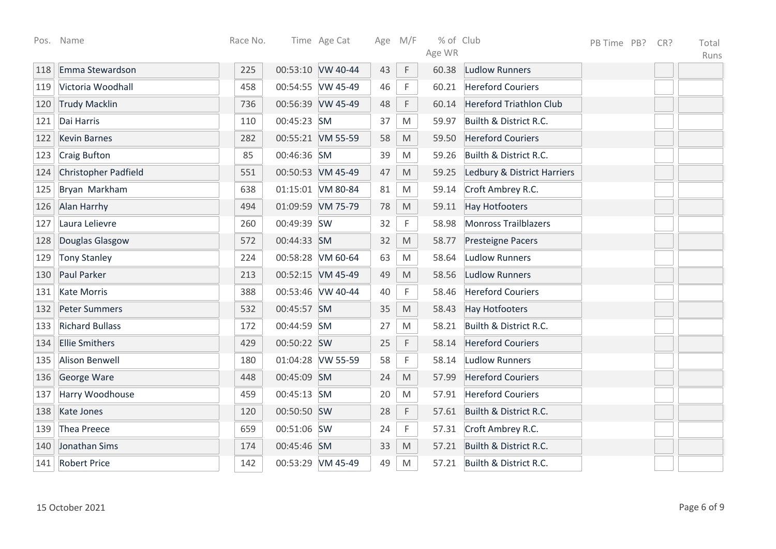| Pos. | Name                   | Race No. |             | Time Age Cat      |    | Age M/F                                                                                                    | % of Club |                                | PB Time PB? | CR? | Total |
|------|------------------------|----------|-------------|-------------------|----|------------------------------------------------------------------------------------------------------------|-----------|--------------------------------|-------------|-----|-------|
|      |                        |          |             |                   |    |                                                                                                            | Age WR    |                                |             |     | Runs  |
| 118  | Emma Stewardson        | 225      |             | 00:53:10 VW 40-44 | 43 | $\mathsf F$                                                                                                | 60.38     | <b>Ludlow Runners</b>          |             |     |       |
| 119  | Victoria Woodhall      | 458      |             | 00:54:55 VW 45-49 | 46 | F                                                                                                          | 60.21     | <b>Hereford Couriers</b>       |             |     |       |
| 120  | <b>Trudy Macklin</b>   | 736      |             | 00:56:39 VW 45-49 | 48 | F                                                                                                          | 60.14     | <b>Hereford Triathlon Club</b> |             |     |       |
| 121  | Dai Harris             | 110      | 00:45:23 SM |                   | 37 | M                                                                                                          | 59.97     | Builth & District R.C.         |             |     |       |
| 122  | <b>Kevin Barnes</b>    | 282      |             | 00:55:21 VM 55-59 | 58 | $\mathsf{M}% _{T}=\mathsf{M}_{T}\!\left( a,b\right) ,\ \mathsf{M}_{T}=\mathsf{M}_{T}\!\left( a,b\right) ,$ | 59.50     | <b>Hereford Couriers</b>       |             |     |       |
| 123  | <b>Craig Bufton</b>    | 85       | 00:46:36 SM |                   | 39 | M                                                                                                          | 59.26     | Builth & District R.C.         |             |     |       |
| 124  | Christopher Padfield   | 551      |             | 00:50:53 VM 45-49 | 47 | $\mathsf{M}% _{T}=\mathsf{M}_{T}\!\left( a,b\right) ,\ \mathsf{M}_{T}=\mathsf{M}_{T}\!\left( a,b\right) ,$ | 59.25     | Ledbury & District Harriers    |             |     |       |
| 125  | Bryan Markham          | 638      |             | 01:15:01 VM 80-84 | 81 | M                                                                                                          | 59.14     | Croft Ambrey R.C.              |             |     |       |
| 126  | Alan Harrhy            | 494      |             | 01:09:59 VM 75-79 | 78 | M                                                                                                          | 59.11     | <b>Hay Hotfooters</b>          |             |     |       |
| 127  | Laura Lelievre         | 260      | 00:49:39 SW |                   | 32 | $\mathsf F$                                                                                                | 58.98     | <b>Monross Trailblazers</b>    |             |     |       |
| 128  | Douglas Glasgow        | 572      | 00:44:33 SM |                   | 32 | $\mathsf{M}% _{T}=\mathsf{M}_{T}\!\left( a,b\right) ,\ \mathsf{M}_{T}=\mathsf{M}_{T}\!\left( a,b\right) ,$ | 58.77     | Presteigne Pacers              |             |     |       |
| 129  | <b>Tony Stanley</b>    | 224      |             | 00:58:28 VM 60-64 | 63 | M                                                                                                          | 58.64     | <b>Ludlow Runners</b>          |             |     |       |
| 130  | Paul Parker            | 213      |             | 00:52:15 VM 45-49 | 49 | M                                                                                                          | 58.56     | <b>Ludlow Runners</b>          |             |     |       |
| 131  | <b>Kate Morris</b>     | 388      |             | 00:53:46 VW 40-44 | 40 | F                                                                                                          | 58.46     | <b>Hereford Couriers</b>       |             |     |       |
| 132  | <b>Peter Summers</b>   | 532      | 00:45:57 SM |                   | 35 | M                                                                                                          | 58.43     | <b>Hay Hotfooters</b>          |             |     |       |
| 133  | <b>Richard Bullass</b> | 172      | 00:44:59 SM |                   | 27 | M                                                                                                          | 58.21     | Builth & District R.C.         |             |     |       |
| 134  | <b>Ellie Smithers</b>  | 429      | 00:50:22 SW |                   | 25 | $\mathsf F$                                                                                                | 58.14     | <b>Hereford Couriers</b>       |             |     |       |
| 135  | Alison Benwell         | 180      |             | 01:04:28 VW 55-59 | 58 | F                                                                                                          | 58.14     | <b>Ludlow Runners</b>          |             |     |       |
| 136  | George Ware            | 448      | 00:45:09 SM |                   | 24 | $\mathsf{M}% _{T}=\mathsf{M}_{T}\!\left( a,b\right) ,\ \mathsf{M}_{T}=\mathsf{M}_{T}\!\left( a,b\right) ,$ | 57.99     | <b>Hereford Couriers</b>       |             |     |       |
| 137  | Harry Woodhouse        | 459      | 00:45:13 SM |                   | 20 | M                                                                                                          | 57.91     | <b>Hereford Couriers</b>       |             |     |       |
| 138  | Kate Jones             | 120      | 00:50:50 SW |                   | 28 | F                                                                                                          | 57.61     | Builth & District R.C.         |             |     |       |
| 139  | <b>Thea Preece</b>     | 659      | 00:51:06 SW |                   | 24 | F                                                                                                          | 57.31     | Croft Ambrey R.C.              |             |     |       |
| 140  | Jonathan Sims          | 174      | 00:45:46 SM |                   | 33 | ${\sf M}$                                                                                                  | 57.21     | Builth & District R.C.         |             |     |       |
| 141  | <b>Robert Price</b>    | 142      |             | 00:53:29 VM 45-49 | 49 | M                                                                                                          | 57.21     | Builth & District R.C.         |             |     |       |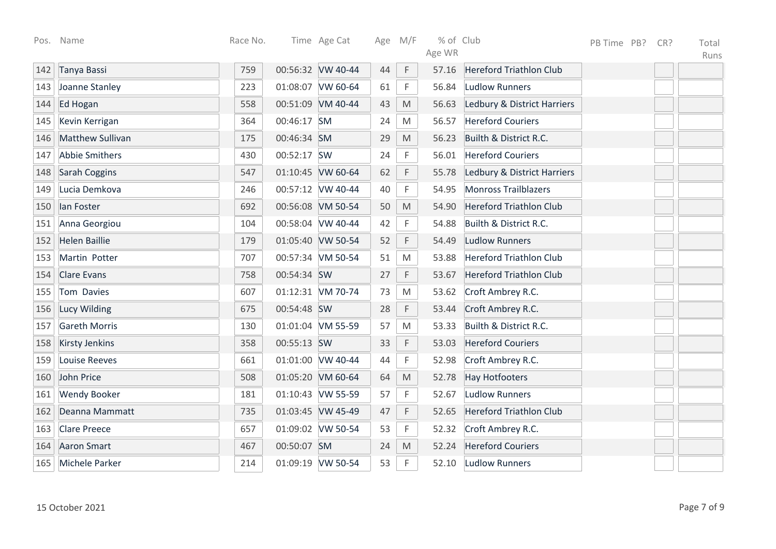| Pos. | Name                  | Race No. |             | Time Age Cat      | Age | M/F                                                                                                        | % of Club |                                | PB Time PB? | CR? | Total |
|------|-----------------------|----------|-------------|-------------------|-----|------------------------------------------------------------------------------------------------------------|-----------|--------------------------------|-------------|-----|-------|
|      |                       |          |             |                   |     |                                                                                                            | Age WR    |                                |             |     | Runs  |
| 142  | Tanya Bassi           | 759      |             | 00:56:32 VW 40-44 | 44  | $\mathsf F$                                                                                                | 57.16     | <b>Hereford Triathlon Club</b> |             |     |       |
| 143  | Joanne Stanley        | 223      |             | 01:08:07 VW 60-64 | 61  | F                                                                                                          | 56.84     | Ludlow Runners                 |             |     |       |
| 144  | Ed Hogan              | 558      |             | 00:51:09 VM 40-44 | 43  | M                                                                                                          | 56.63     | Ledbury & District Harriers    |             |     |       |
| 145  | Kevin Kerrigan        | 364      | 00:46:17 SM |                   | 24  | M                                                                                                          | 56.57     | <b>Hereford Couriers</b>       |             |     |       |
| 146  | Matthew Sullivan      | 175      | 00:46:34 SM |                   | 29  | $\mathsf{M}% _{T}=\mathsf{M}_{T}\!\left( a,b\right) ,\ \mathsf{M}_{T}=\mathsf{M}_{T}\!\left( a,b\right) ,$ | 56.23     | Builth & District R.C.         |             |     |       |
| 147  | <b>Abbie Smithers</b> | 430      | 00:52:17 SW |                   | 24  | F                                                                                                          | 56.01     | <b>Hereford Couriers</b>       |             |     |       |
| 148  | Sarah Coggins         | 547      |             | 01:10:45 VW 60-64 | 62  | F                                                                                                          | 55.78     | Ledbury & District Harriers    |             |     |       |
| 149  | Lucia Demkova         | 246      |             | 00:57:12 VW 40-44 | 40  | F                                                                                                          | 54.95     | <b>Monross Trailblazers</b>    |             |     |       |
| 150  | lan Foster            | 692      |             | 00:56:08 VM 50-54 | 50  | $\mathsf{M}% _{T}=\mathsf{M}_{T}\!\left( a,b\right) ,\ \mathsf{M}_{T}=\mathsf{M}_{T}\!\left( a,b\right) ,$ | 54.90     | <b>Hereford Triathlon Club</b> |             |     |       |
| 151  | Anna Georgiou         | 104      |             | 00:58:04 VW 40-44 | 42  | F                                                                                                          | 54.88     | Builth & District R.C.         |             |     |       |
| 152  | <b>Helen Baillie</b>  | 179      |             | 01:05:40 VW 50-54 | 52  | $\mathsf F$                                                                                                | 54.49     | <b>Ludlow Runners</b>          |             |     |       |
| 153  | Martin Potter         | 707      |             | 00:57:34 VM 50-54 | 51  | M                                                                                                          | 53.88     | <b>Hereford Triathlon Club</b> |             |     |       |
| 154  | <b>Clare Evans</b>    | 758      | 00:54:34 SW |                   | 27  | F                                                                                                          | 53.67     | <b>Hereford Triathlon Club</b> |             |     |       |
| 155  | Tom Davies            | 607      |             | 01:12:31 VM 70-74 | 73  | M                                                                                                          | 53.62     | Croft Ambrey R.C.              |             |     |       |
| 156  | Lucy Wilding          | 675      | 00:54:48 SW |                   | 28  | F                                                                                                          | 53.44     | Croft Ambrey R.C.              |             |     |       |
| 157  | <b>Gareth Morris</b>  | 130      |             | 01:01:04 VM 55-59 | 57  | M                                                                                                          | 53.33     | Builth & District R.C.         |             |     |       |
| 158  | <b>Kirsty Jenkins</b> | 358      | 00:55:13 SW |                   | 33  | F                                                                                                          | 53.03     | <b>Hereford Couriers</b>       |             |     |       |
| 159  | <b>Louise Reeves</b>  | 661      |             | 01:01:00 VW 40-44 | 44  | F                                                                                                          | 52.98     | Croft Ambrey R.C.              |             |     |       |
| 160  | John Price            | 508      |             | 01:05:20 VM 60-64 | 64  | $\mathsf{M}% _{T}=\mathsf{M}_{T}\!\left( a,b\right) ,\ \mathsf{M}_{T}=\mathsf{M}_{T}\!\left( a,b\right) ,$ | 52.78     | <b>Hay Hotfooters</b>          |             |     |       |
| 161  | <b>Wendy Booker</b>   | 181      |             | 01:10:43 VW 55-59 | 57  | F                                                                                                          | 52.67     | <b>Ludlow Runners</b>          |             |     |       |
| 162  | Deanna Mammatt        | 735      |             | 01:03:45 VW 45-49 | 47  | F                                                                                                          | 52.65     | <b>Hereford Triathlon Club</b> |             |     |       |
| 163  | <b>Clare Preece</b>   | 657      |             | 01:09:02 VW 50-54 | 53  | F                                                                                                          | 52.32     | Croft Ambrey R.C.              |             |     |       |
| 164  | <b>Aaron Smart</b>    | 467      | 00:50:07 SM |                   | 24  | $\mathsf{M}% _{T}=\mathsf{M}_{T}\!\left( a,b\right) ,\ \mathsf{M}_{T}=\mathsf{M}_{T}\!\left( a,b\right) ,$ | 52.24     | <b>Hereford Couriers</b>       |             |     |       |
| 165  | Michele Parker        | 214      |             | 01:09:19 VW 50-54 | 53  | F                                                                                                          | 52.10     | Ludlow Runners                 |             |     |       |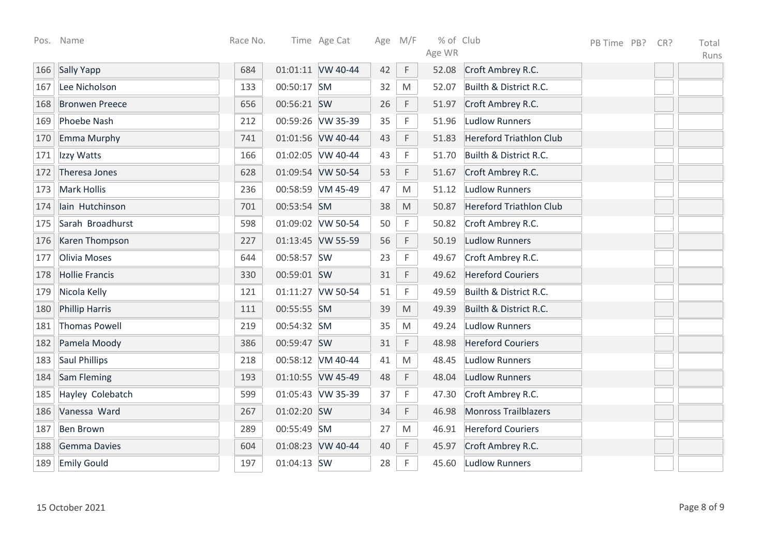|     | Pos. Name             | Race No. |             | Time Age Cat      | Age M/F |                                                                                                            | % of Club |                                | PB Time PB? | CR? | Total |
|-----|-----------------------|----------|-------------|-------------------|---------|------------------------------------------------------------------------------------------------------------|-----------|--------------------------------|-------------|-----|-------|
|     |                       |          |             |                   |         |                                                                                                            | Age WR    |                                |             |     | Runs  |
| 166 | Sally Yapp            | 684      |             | 01:01:11 VW 40-44 | 42      | $\mathsf F$                                                                                                | 52.08     | Croft Ambrey R.C.              |             |     |       |
| 167 | Lee Nicholson         | 133      | 00:50:17 SM |                   | 32      | M                                                                                                          | 52.07     | Builth & District R.C.         |             |     |       |
| 168 | <b>Bronwen Preece</b> | 656      | 00:56:21 SW |                   | 26      | F                                                                                                          | 51.97     | Croft Ambrey R.C.              |             |     |       |
| 169 | Phoebe Nash           | 212      |             | 00:59:26 VW 35-39 | 35      | F                                                                                                          | 51.96     | <b>Ludlow Runners</b>          |             |     |       |
| 170 | Emma Murphy           | 741      |             | 01:01:56 VW 40-44 | 43      | F                                                                                                          | 51.83     | <b>Hereford Triathlon Club</b> |             |     |       |
| 171 | Izzy Watts            | 166      |             | 01:02:05 VW 40-44 | 43      | F                                                                                                          | 51.70     | Builth & District R.C.         |             |     |       |
| 172 | Theresa Jones         | 628      |             | 01:09:54 VW 50-54 | 53      | F                                                                                                          | 51.67     | Croft Ambrey R.C.              |             |     |       |
| 173 | <b>Mark Hollis</b>    | 236      |             | 00:58:59 VM 45-49 | 47      | ${\sf M}$                                                                                                  | 51.12     | <b>Ludlow Runners</b>          |             |     |       |
| 174 | lain Hutchinson       | 701      | 00:53:54 SM |                   | 38      | M                                                                                                          | 50.87     | <b>Hereford Triathlon Club</b> |             |     |       |
| 175 | Sarah Broadhurst      | 598      |             | 01:09:02 VW 50-54 | 50      | F                                                                                                          | 50.82     | Croft Ambrey R.C.              |             |     |       |
| 176 | Karen Thompson        | 227      |             | 01:13:45 VW 55-59 | 56      | $\mathsf F$                                                                                                | 50.19     | <b>Ludlow Runners</b>          |             |     |       |
| 177 | Olivia Moses          | 644      | 00:58:57 SW |                   | 23      | F                                                                                                          | 49.67     | Croft Ambrey R.C.              |             |     |       |
| 178 | <b>Hollie Francis</b> | 330      | 00:59:01 SW |                   | 31      | F                                                                                                          | 49.62     | <b>Hereford Couriers</b>       |             |     |       |
| 179 | Nicola Kelly          | 121      |             | 01:11:27 VW 50-54 | 51      | F                                                                                                          | 49.59     | Builth & District R.C.         |             |     |       |
| 180 | <b>Phillip Harris</b> | 111      | 00:55:55 SM |                   | 39      | M                                                                                                          | 49.39     | Builth & District R.C.         |             |     |       |
| 181 | <b>Thomas Powell</b>  | 219      | 00:54:32 SM |                   | 35      | ${\sf M}$                                                                                                  | 49.24     | Ludlow Runners                 |             |     |       |
| 182 | Pamela Moody          | 386      | 00:59:47 SW |                   | 31      | F                                                                                                          | 48.98     | <b>Hereford Couriers</b>       |             |     |       |
| 183 | <b>Saul Phillips</b>  | 218      |             | 00:58:12 VM 40-44 | 41      | M                                                                                                          | 48.45     | <b>Ludlow Runners</b>          |             |     |       |
| 184 | Sam Fleming           | 193      |             | 01:10:55 VW 45-49 | 48      | $\mathsf F$                                                                                                | 48.04     | Ludlow Runners                 |             |     |       |
| 185 | Hayley Colebatch      | 599      |             | 01:05:43 VW 35-39 | 37      | F                                                                                                          | 47.30     | Croft Ambrey R.C.              |             |     |       |
| 186 | Vanessa Ward          | 267      | 01:02:20 SW |                   | 34      | F                                                                                                          | 46.98     | <b>Monross Trailblazers</b>    |             |     |       |
| 187 | <b>Ben Brown</b>      | 289      | 00:55:49 SM |                   | 27      | $\mathsf{M}% _{T}=\mathsf{M}_{T}\!\left( a,b\right) ,\ \mathsf{M}_{T}=\mathsf{M}_{T}\!\left( a,b\right) ,$ | 46.91     | <b>Hereford Couriers</b>       |             |     |       |
| 188 | <b>Gemma Davies</b>   | 604      |             | 01:08:23 VW 40-44 | 40      | $\mathsf F$                                                                                                | 45.97     | Croft Ambrey R.C.              |             |     |       |
| 189 | <b>Emily Gould</b>    | 197      | 01:04:13 SW |                   | 28      | F                                                                                                          | 45.60     | Ludlow Runners                 |             |     |       |